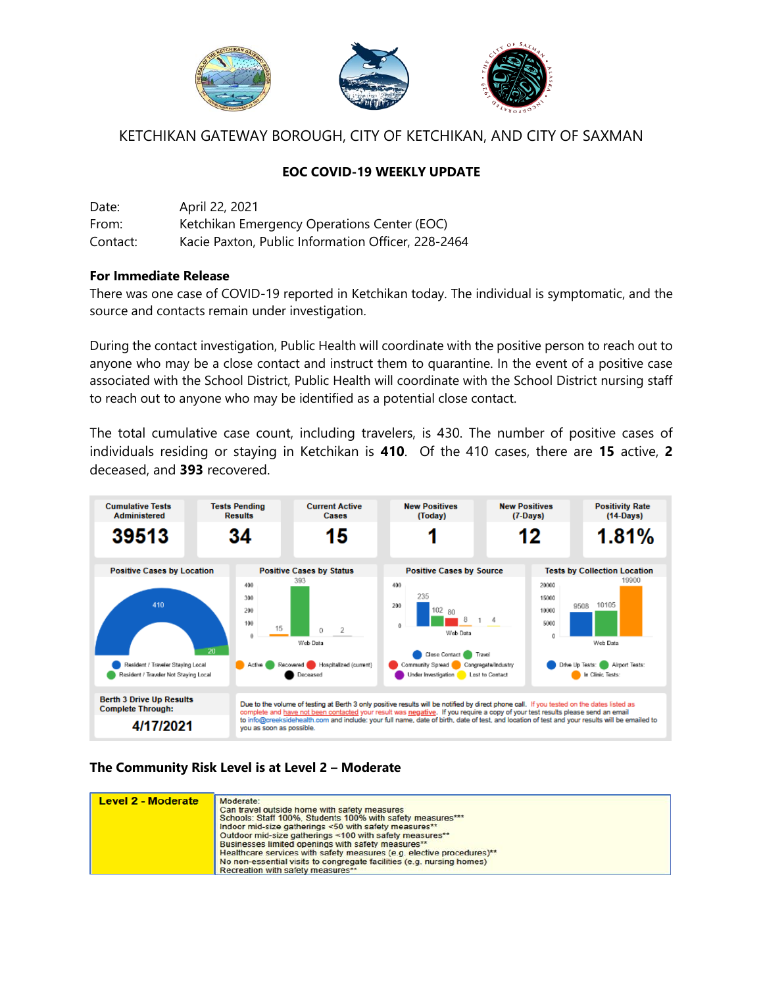

# KETCHIKAN GATEWAY BOROUGH, CITY OF KETCHIKAN, AND CITY OF SAXMAN

## **EOC COVID-19 WEEKLY UPDATE**

| Date:    | April 22, 2021                                     |
|----------|----------------------------------------------------|
| From:    | Ketchikan Emergency Operations Center (EOC)        |
| Contact: | Kacie Paxton, Public Information Officer, 228-2464 |

#### **For Immediate Release**

There was one case of COVID-19 reported in Ketchikan today. The individual is symptomatic, and the source and contacts remain under investigation.

During the contact investigation, Public Health will coordinate with the positive person to reach out to anyone who may be a close contact and instruct them to quarantine. In the event of a positive case associated with the School District, Public Health will coordinate with the School District nursing staff to reach out to anyone who may be identified as a potential close contact.

The total cumulative case count, including travelers, is 430. The number of positive cases of individuals residing or staying in Ketchikan is **410**. Of the 410 cases, there are **15** active, **2**  deceased, and **393** recovered.



### **The Community Risk Level is at Level 2 – Moderate**

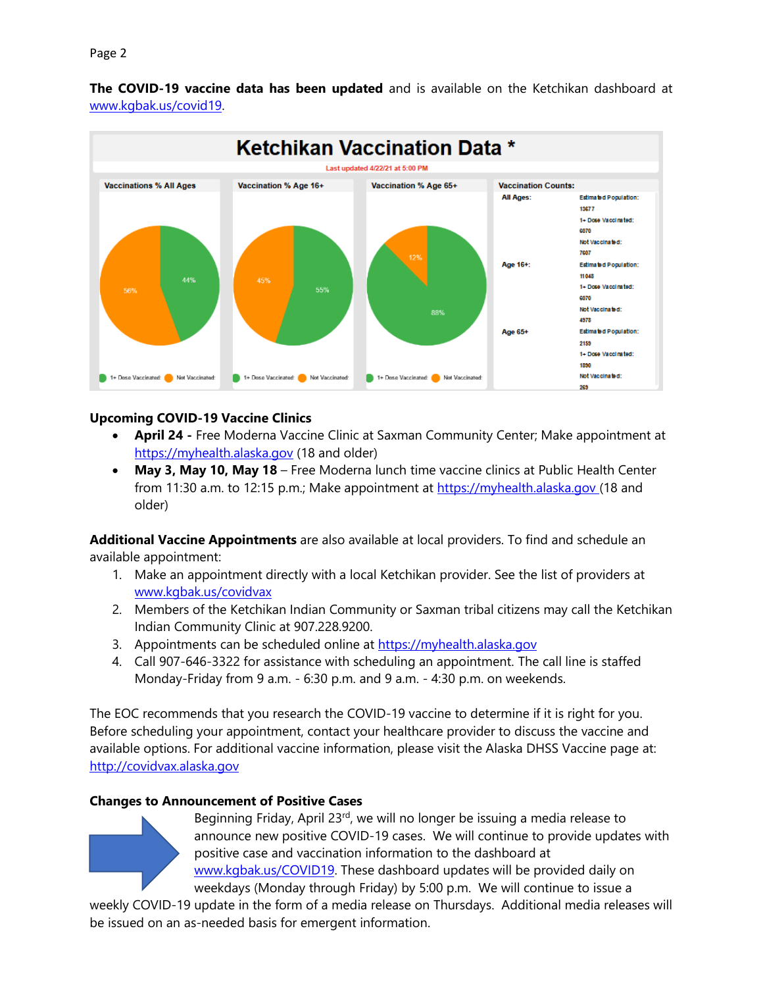

**The COVID-19 vaccine data has been updated** and is available on the Ketchikan dashboard at [www.kgbak.us/covid19.](http://www.kgbak.us/covid19)



### **Upcoming COVID-19 Vaccine Clinics**

- **April 24 -** Free Moderna Vaccine Clinic at Saxman Community Center; Make appointment at [https://myhealth.alaska.gov](https://myhealth.alaska.gov/) (18 and older)
- **May 3, May 10, May 18**  Free Moderna lunch time vaccine clinics at Public Health Center from 11:30 a.m. to 12:15 p.m.; Make appointment at [https://myhealth.alaska.gov](https://myhealth.alaska.gov/) (18 and older)

**Additional Vaccine Appointments** are also available at local providers. To find and schedule an available appointment:

- 1. Make an appointment directly with a local Ketchikan provider. See the list of providers at [www.kgbak.us/covidvax](http://www.kgbak.us/covidvax)
- 2. Members of the Ketchikan Indian Community or Saxman tribal citizens may call the Ketchikan Indian Community Clinic at 907.228.9200.
- 3. Appointments can be scheduled online at [https://myhealth.alaska.gov](https://myhealth.alaska.gov/)
- 4. Call 907-646-3322 for assistance with scheduling an appointment. The call line is staffed Monday-Friday from 9 a.m. - 6:30 p.m. and 9 a.m. - 4:30 p.m. on weekends.

The EOC recommends that you research the COVID-19 vaccine to determine if it is right for you. Before scheduling your appointment, contact your healthcare provider to discuss the vaccine and available options. For additional vaccine information, please visit the Alaska DHSS Vaccine page at: [http://covidvax.alaska.gov](http://covidvax.alaska.gov/)

### **Changes to Announcement of Positive Cases**



Beginning Friday, April 23<sup>rd</sup>, we will no longer be issuing a media release to announce new positive COVID-19 cases. We will continue to provide updates with positive case and vaccination information to the dashboard at [www.kgbak.us/COVID19.](http://www.kgbak.us/COVID19) These dashboard updates will be provided daily on weekdays (Monday through Friday) by 5:00 p.m. We will continue to issue a

weekly COVID-19 update in the form of a media release on Thursdays. Additional media releases will be issued on an as-needed basis for emergent information.